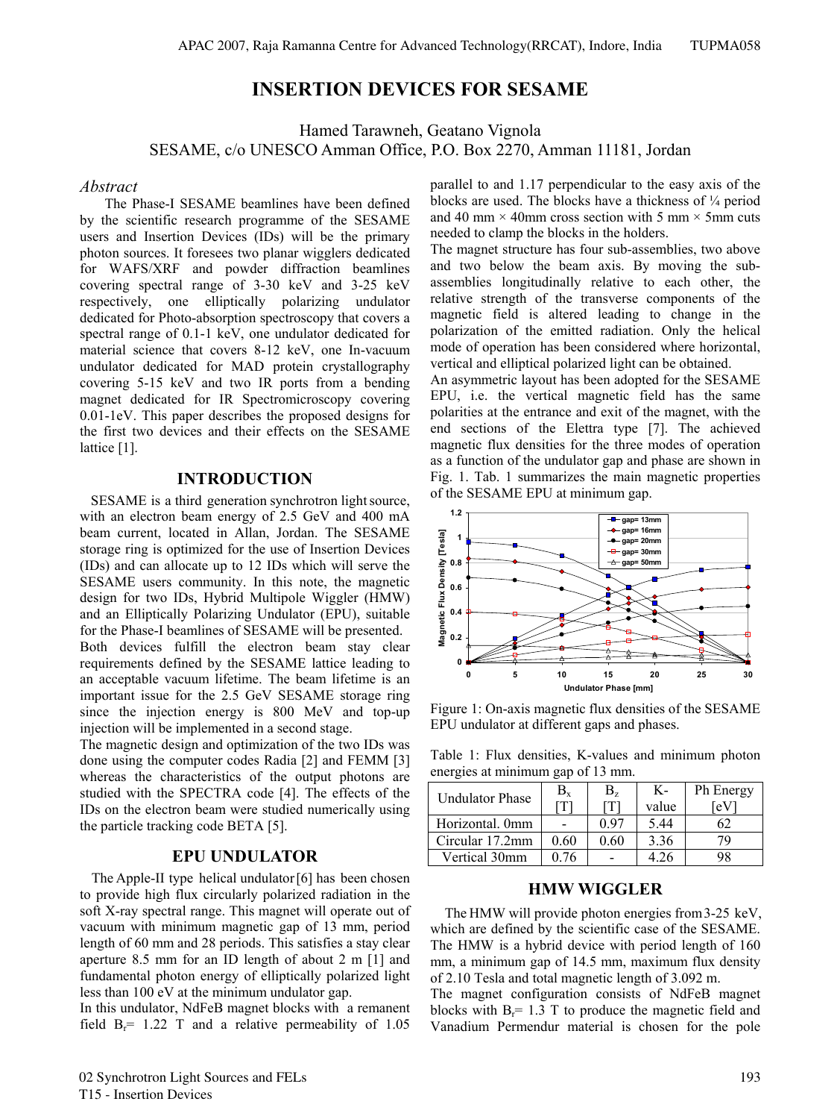# **INSERTION DEVICES FOR SESAME**

Hamed Tarawneh, Geatano Vignola SESAME, c/o UNESCO Amman Office, P.O. Box 2270, Amman 11181, Jordan

#### *Abstract*

 The Phase-I SESAME beamlines have been defined by the scientific research programme of the SESAME users and Insertion Devices (IDs) will be the primary photon sources. It foresees two planar wigglers dedicated for WAFS/XRF and powder diffraction beamlines covering spectral range of 3-30 keV and 3-25 keV respectively, one elliptically polarizing undulator dedicated for Photo-absorption spectroscopy that covers a spectral range of 0.1-1 keV, one undulator dedicated for material science that covers 8-12 keV, one In-vacuum undulator dedicated for MAD protein crystallography covering 5-15 keV and two IR ports from a bending magnet dedicated for IR Spectromicroscopy covering 0.01-1eV. This paper describes the proposed designs for the first two devices and their effects on the SESAME lattice [1].

## **INTRODUCTION**

 SESAME is a third generation synchrotron light source, with an electron beam energy of 2.5 GeV and 400 mA beam current, located in Allan, Jordan. The SESAME storage ring is optimized for the use of Insertion Devices (IDs) and can allocate up to 12 IDs which will serve the SESAME users community. In this note, the magnetic design for two IDs, Hybrid Multipole Wiggler (HMW) and an Elliptically Polarizing Undulator (EPU), suitable for the Phase-I beamlines of SESAME will be presented. Both devices fulfill the electron beam stay clear requirements defined by the SESAME lattice leading to an acceptable vacuum lifetime. The beam lifetime is an important issue for the 2.5 GeV SESAME storage ring since the injection energy is 800 MeV and top-up injection will be implemented in a second stage.

The magnetic design and optimization of the two IDs was done using the computer codes Radia [2] and FEMM [3] whereas the characteristics of the output photons are studied with the SPECTRA code [4]. The effects of the IDs on the electron beam were studied numerically using the particle tracking code BETA [5].

# **EPU UNDULATOR**

The Apple-II type helical undulator [6] has been chosen to provide high flux circularly polarized radiation in the soft X-ray spectral range. This magnet will operate out of vacuum with minimum magnetic gap of 13 mm, period length of 60 mm and 28 periods. This satisfies a stay clear aperture 8.5 mm for an ID length of about 2 m [1] and fundamental photon energy of elliptically polarized light less than 100 eV at the minimum undulator gap.

In this undulator, NdFeB magnet blocks with a remanent field  $B_r$ = 1.22 T and a relative permeability of 1.05 parallel to and 1.17 perpendicular to the easy axis of the blocks are used. The blocks have a thickness of ¼ period and 40 mm  $\times$  40mm cross section with 5 mm  $\times$  5mm cuts needed to clamp the blocks in the holders.

The magnet structure has four sub-assemblies, two above and two below the beam axis. By moving the subassemblies longitudinally relative to each other, the relative strength of the transverse components of the magnetic field is altered leading to change in the polarization of the emitted radiation. Only the helical mode of operation has been considered where horizontal, vertical and elliptical polarized light can be obtained.

An asymmetric layout has been adopted for the SESAME EPU, i.e. the vertical magnetic field has the same polarities at the entrance and exit of the magnet, with the end sections of the Elettra type [7]. The achieved magnetic flux densities for the three modes of operation as a function of the undulator gap and phase are shown in Fig. 1. Tab. 1 summarizes the main magnetic properties of the SESAME EPU at minimum gap.



Figure 1: On-axis magnetic flux densities of the SESAME EPU undulator at different gaps and phases.

Table 1: Flux densities, K-values and minimum photon energies at minimum gap of 13 mm.

| <b>Undulator Phase</b> | $B_{x}$        | $B_{\rm z}$ | К-    | Ph Energy |
|------------------------|----------------|-------------|-------|-----------|
|                        | $\overline{T}$ |             | value | .ev       |
| Horizontal. 0mm        |                | 0 97        | 5.44  |           |
| Circular 17.2mm        | 0.60           | 0.60        | 3.36  | 70        |
| Vertical 30mm          | በ 76           |             | 4 76  | 98        |

#### **HMW WIGGLER**

The HMW will provide photon energies from 3-25 keV, which are defined by the scientific case of the SESAME. The HMW is a hybrid device with period length of 160 mm, a minimum gap of 14.5 mm, maximum flux density of 2.10 Tesla and total magnetic length of 3.092 m.

The magnet configuration consists of NdFeB magnet blocks with  $B_r = 1.3$  T to produce the magnetic field and Vanadium Permendur material is chosen for the pole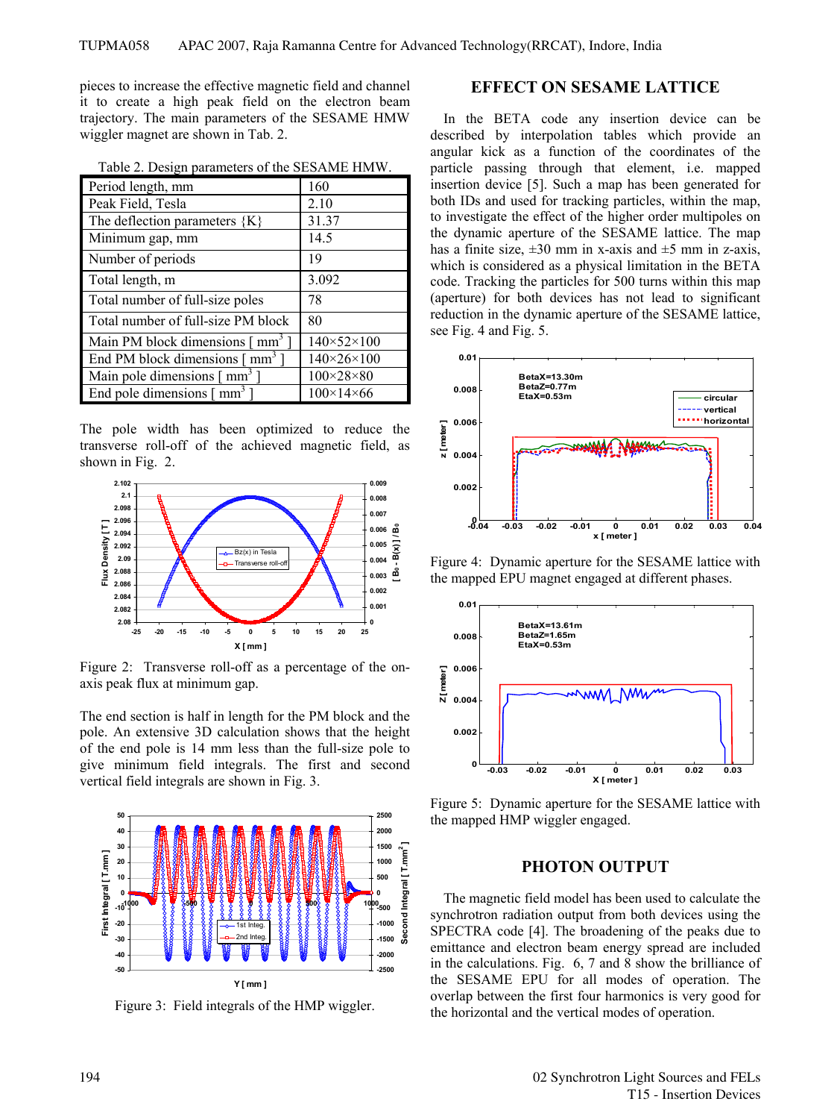pieces to increase the effective magnetic field and channel it to create a high peak field on the electron beam trajectory. The main parameters of the SESAME HMW wiggler magnet are shown in Tab. 2.

Table 2. Design parameters of the SESAME HMW.

| Period length, mm                                 | 160                        |
|---------------------------------------------------|----------------------------|
| Peak Field, Tesla                                 | 2.10                       |
| The deflection parameters ${K}$                   | 31.37                      |
| Minimum gap, mm                                   | 14.5                       |
| Number of periods                                 | 19                         |
| Total length, m                                   | 3.092                      |
| Total number of full-size poles                   | 78                         |
| Total number of full-size PM block                | 80                         |
| Main PM block dimensions $\lceil$ mm <sup>3</sup> | $140 \times 52 \times 100$ |
| End PM block dimensions $\lceil$ mm <sup>3</sup>  | $140 \times 26 \times 100$ |
| Main pole dimensions $\lceil$ mm <sup>3</sup>     | $100\times28\times80$      |
| End pole dimensions $\lceil$ mm <sup>3</sup>      | $100 \times 14 \times 66$  |

The pole width has been optimized to reduce the transverse roll-off of the achieved magnetic field, as shown in Fig. 2.



Figure 2: Transverse roll-off as a percentage of the onaxis peak flux at minimum gap.

The end section is half in length for the PM block and the pole. An extensive 3D calculation shows that the height of the end pole is 14 mm less than the full-size pole to give minimum field integrals. The first and second vertical field integrals are shown in Fig. 3.



Figure 3: Field integrals of the HMP wiggler.

#### **EFFECT ON SESAME LATTICE**

In the BETA code any insertion device can be described by interpolation tables which provide an angular kick as a function of the coordinates of the particle passing through that element, i.e. mapped insertion device [5]. Such a map has been generated for both IDs and used for tracking particles, within the map, to investigate the effect of the higher order multipoles on the dynamic aperture of the SESAME lattice. The map has a finite size,  $\pm 30$  mm in x-axis and  $\pm 5$  mm in z-axis, which is considered as a physical limitation in the BETA code. Tracking the particles for 500 turns within this map (aperture) for both devices has not lead to significant reduction in the dynamic aperture of the SESAME lattice, see Fig. 4 and Fig. 5.



Figure 4: Dynamic aperture for the SESAME lattice with the mapped EPU magnet engaged at different phases.



Figure 5: Dynamic aperture for the SESAME lattice with the mapped HMP wiggler engaged.

## **PHOTON OUTPUT**

The magnetic field model has been used to calculate the synchrotron radiation output from both devices using the SPECTRA code [4]. The broadening of the peaks due to emittance and electron beam energy spread are included in the calculations. Fig. 6, 7 and 8 show the brilliance of the SESAME EPU for all modes of operation. The overlap between the first four harmonics is very good for the horizontal and the vertical modes of operation.